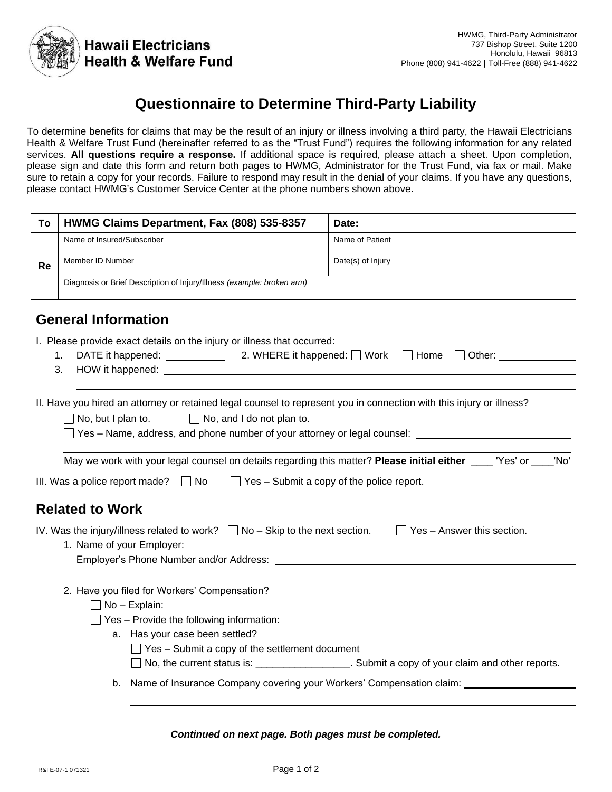

# **Questionnaire to Determine Third-Party Liability**

To determine benefits for claims that may be the result of an injury or illness involving a third party, the Hawaii Electricians Health & Welfare Trust Fund (hereinafter referred to as the "Trust Fund") requires the following information for any related services. **All questions require a response.** If additional space is required, please attach a sheet. Upon completion, please sign and date this form and return both pages to HWMG, Administrator for the Trust Fund, via fax or mail. Make sure to retain a copy for your records. Failure to respond may result in the denial of your claims. If you have any questions, please contact HWMG's Customer Service Center at the phone numbers shown above.

| To | HWMG Claims Department, Fax (808) 535-8357                             | Date:             |
|----|------------------------------------------------------------------------|-------------------|
|    | Name of Insured/Subscriber                                             | Name of Patient   |
| Re | Member ID Number                                                       | Date(s) of Injury |
|    | Diagnosis or Brief Description of Injury/Illness (example: broken arm) |                   |
|    |                                                                        |                   |

# **General Information**

I. Please provide exact details on the injury or illness that occurred:

| 1. DATE it happened: | 2. WHERE it happened: $\Box$ Work $\Box$ Home $\Box$ Other: |  |  |
|----------------------|-------------------------------------------------------------|--|--|
| 3. HOW it happened:  |                                                             |  |  |
|                      |                                                             |  |  |

II. Have you hired an attorney or retained legal counsel to represent you in connection with this injury or illness?

 $\Box$  No, but I plan to.  $\Box$  No, and I do not plan to.

 $\Box$  Yes – Name, address, and phone number of your attorney or legal counsel:

| May we work with your legal counsel on details regarding this matter? Please initial either ____" | 'Yes' or | 'No' |
|---------------------------------------------------------------------------------------------------|----------|------|
|---------------------------------------------------------------------------------------------------|----------|------|

III. Was a police report made?  $\Box$  No  $\Box$  Yes – Submit a copy of the police report.

# **Related to Work**

| IV. Was the injury/illness related to work? $\Box$ No – Skip to the next section. |  | $\Box$ Yes – Answer this section. |  |
|-----------------------------------------------------------------------------------|--|-----------------------------------|--|
| 1. Name of your Employer:                                                         |  |                                   |  |
| Employer's Phone Number and/or Address:                                           |  |                                   |  |
|                                                                                   |  |                                   |  |

- 2. Have you filed for Workers' Compensation?
	- No Explain:
	- $\Box$  Yes Provide the following information:
		- a. Has your case been settled?  $\Box$  Yes – Submit a copy of the settlement document □ No, the current status is: \_\_\_\_\_\_\_\_\_\_\_\_\_\_\_\_\_\_\_\_\_. Submit a copy of your claim and other reports.
		- b. Name of Insurance Company covering your Workers' Compensation claim:

*Continued on next page. Both pages must be completed.*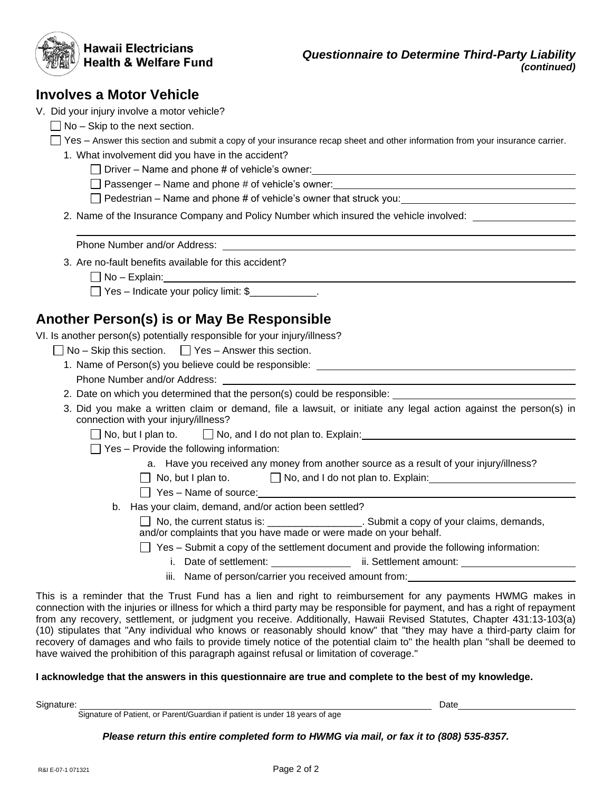| <b>Hawaii Electricians</b><br><b>Health &amp; Welfare Fund</b>                                                                                                                              | <b>Questionnaire to Determine Third-Party Liability</b><br>(continued)                                                                                                                                                                                                                                                                                                                                                                                                                                                                                                                                                    |
|---------------------------------------------------------------------------------------------------------------------------------------------------------------------------------------------|---------------------------------------------------------------------------------------------------------------------------------------------------------------------------------------------------------------------------------------------------------------------------------------------------------------------------------------------------------------------------------------------------------------------------------------------------------------------------------------------------------------------------------------------------------------------------------------------------------------------------|
| <b>Involves a Motor Vehicle</b>                                                                                                                                                             |                                                                                                                                                                                                                                                                                                                                                                                                                                                                                                                                                                                                                           |
| V. Did your injury involve a motor vehicle?                                                                                                                                                 |                                                                                                                                                                                                                                                                                                                                                                                                                                                                                                                                                                                                                           |
| $\Box$ No – Skip to the next section.                                                                                                                                                       |                                                                                                                                                                                                                                                                                                                                                                                                                                                                                                                                                                                                                           |
|                                                                                                                                                                                             | □ Yes – Answer this section and submit a copy of your insurance recap sheet and other information from your insurance carrier.                                                                                                                                                                                                                                                                                                                                                                                                                                                                                            |
| 1. What involvement did you have in the accident?                                                                                                                                           |                                                                                                                                                                                                                                                                                                                                                                                                                                                                                                                                                                                                                           |
|                                                                                                                                                                                             |                                                                                                                                                                                                                                                                                                                                                                                                                                                                                                                                                                                                                           |
|                                                                                                                                                                                             | □ Passenger – Name and phone # of vehicle's owner:<br>□ Passenger – Name and phone # of vehicle's owner:                                                                                                                                                                                                                                                                                                                                                                                                                                                                                                                  |
|                                                                                                                                                                                             | $\Box$ Pedestrian – Name and phone # of vehicle's owner that struck you: $\Box$                                                                                                                                                                                                                                                                                                                                                                                                                                                                                                                                           |
|                                                                                                                                                                                             | 2. Name of the Insurance Company and Policy Number which insured the vehicle involved:                                                                                                                                                                                                                                                                                                                                                                                                                                                                                                                                    |
|                                                                                                                                                                                             |                                                                                                                                                                                                                                                                                                                                                                                                                                                                                                                                                                                                                           |
| 3. Are no-fault benefits available for this accident?                                                                                                                                       |                                                                                                                                                                                                                                                                                                                                                                                                                                                                                                                                                                                                                           |
|                                                                                                                                                                                             |                                                                                                                                                                                                                                                                                                                                                                                                                                                                                                                                                                                                                           |
| Yes – Indicate your policy limit: \$                                                                                                                                                        |                                                                                                                                                                                                                                                                                                                                                                                                                                                                                                                                                                                                                           |
| Another Person(s) is or May Be Responsible<br>VI. Is another person(s) potentially responsible for your injury/illness?<br>$\Box$ No – Skip this section. $\Box$ Yes – Answer this section. |                                                                                                                                                                                                                                                                                                                                                                                                                                                                                                                                                                                                                           |
|                                                                                                                                                                                             |                                                                                                                                                                                                                                                                                                                                                                                                                                                                                                                                                                                                                           |
|                                                                                                                                                                                             | 2. Date on which you determined that the person(s) could be responsible: ___________________________                                                                                                                                                                                                                                                                                                                                                                                                                                                                                                                      |
| connection with your injury/illness?                                                                                                                                                        | 3. Did you make a written claim or demand, file a lawsuit, or initiate any legal action against the person(s) in                                                                                                                                                                                                                                                                                                                                                                                                                                                                                                          |
|                                                                                                                                                                                             |                                                                                                                                                                                                                                                                                                                                                                                                                                                                                                                                                                                                                           |
| $\Box$ Yes – Provide the following information:                                                                                                                                             |                                                                                                                                                                                                                                                                                                                                                                                                                                                                                                                                                                                                                           |
|                                                                                                                                                                                             | a. Have you received any money from another source as a result of your injury/illness?                                                                                                                                                                                                                                                                                                                                                                                                                                                                                                                                    |
|                                                                                                                                                                                             | $\Box$ No, but I plan to. $\Box$ No, and I do not plan to. Explain:                                                                                                                                                                                                                                                                                                                                                                                                                                                                                                                                                       |
| $\Box$ Yes – Name of source:                                                                                                                                                                |                                                                                                                                                                                                                                                                                                                                                                                                                                                                                                                                                                                                                           |
| b. Has your claim, demand, and/or action been settled?                                                                                                                                      | □ No, the current status is: ______________________. Submit a copy of your claims, demands,                                                                                                                                                                                                                                                                                                                                                                                                                                                                                                                               |
| and/or complaints that you have made or were made on your behalf.                                                                                                                           |                                                                                                                                                                                                                                                                                                                                                                                                                                                                                                                                                                                                                           |
|                                                                                                                                                                                             | $\Box$ Yes – Submit a copy of the settlement document and provide the following information:                                                                                                                                                                                                                                                                                                                                                                                                                                                                                                                              |
|                                                                                                                                                                                             | i. Date of settlement: __________________ ii. Settlement amount: ________________                                                                                                                                                                                                                                                                                                                                                                                                                                                                                                                                         |
|                                                                                                                                                                                             | iii. Name of person/carrier you received amount from: Name of the state of the state of the state of the state of the state of the state of the state of the state of the state of the state of the state of the state of the                                                                                                                                                                                                                                                                                                                                                                                             |
| have waived the prohibition of this paragraph against refusal or limitation of coverage."                                                                                                   | This is a reminder that the Trust Fund has a lien and right to reimbursement for any payments HWMG makes in<br>connection with the injuries or illness for which a third party may be responsible for payment, and has a right of repayment<br>from any recovery, settlement, or judgment you receive. Additionally, Hawaii Revised Statutes, Chapter 431:13-103(a)<br>(10) stipulates that "Any individual who knows or reasonably should know" that "they may have a third-party claim for<br>recovery of damages and who fails to provide timely notice of the potential claim to" the health plan "shall be deemed to |
| I acknowledge that the answers in this questionnaire are true and complete to the best of my knowledge.                                                                                     |                                                                                                                                                                                                                                                                                                                                                                                                                                                                                                                                                                                                                           |

Signature: Date Signature of Patient, or Parent/Guardian if patient is under 18 years of age

*Please return this entire completed form to HWMG via mail, or fax it to (808) 535-8357.*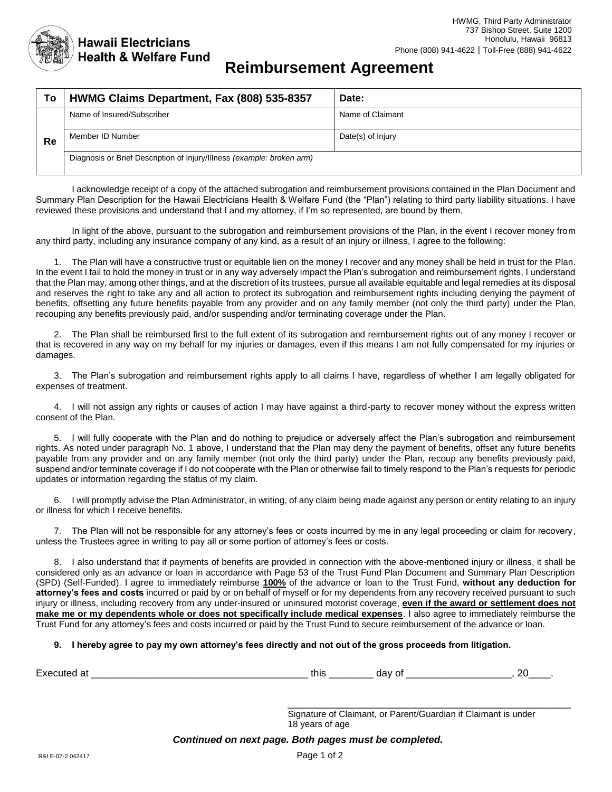

# **Reimbursement Agreement**

| To | HWMG Claims Department, Fax (808) 535-8357                             | Date:             |  |
|----|------------------------------------------------------------------------|-------------------|--|
| Re | Name of Insured/Subscriber                                             | Name of Claimant  |  |
|    | Member ID Number                                                       | Date(s) of Injury |  |
|    | Diagnosis or Brief Description of Injury/Illness (example: broken arm) |                   |  |

I acknowledge receipt of a copy of the attached subrogation and reimbursement provisions contained in the Plan Document and Summary Plan Description for the Hawaii Electricians Health & Welfare Fund (the "Plan") relating to third party liability situations. I have reviewed these provisions and understand that I and my attorney, if I'm so represented, are bound by them.

In light of the above, pursuant to the subrogation and reimbursement provisions of the Plan, in the event I recover money from any third party, including any insurance company of any kind, as a result of an injury or illness, I agree to the following:

1. The Plan will have a constructive trust or equitable lien on the money I recover and any money shall be held in trust for the Plan. In the event I fail to hold the money in trust or in any way adversely impact the Plan's subrogation and reimbursement rights, I understand that the Plan may, among other things, and at the discretion of its trustees, pursue all available equitable and legal remedies at its disposal and reserves the right to take any and all action to protect its subrogation and reimbursement rights including denying the payment of benefits, offsetting any future benefits payable from any provider and on any family member (not only the third party) under the Plan, recouping any benefits previously paid, and/or suspending and/or terminating coverage under the Plan.

2. The Plan shall be reimbursed first to the full extent of its subrogation and reimbursement rights out of any money I recover or that is recovered in any way on my behalf for my injuries or damages, even if this means I am not fully compensated for my injuries or damages.

3. The Plan's subrogation and reimbursement rights apply to all claims I have, regardless of whether I am legally obligated for expenses of treatment.

4. I will not assign any rights or causes of action I may have against a third-party to recover money without the express written consent of the Plan.

5. I will fully cooperate with the Plan and do nothing to prejudice or adversely affect the Plan's subrogation and reimbursement rights. As noted under paragraph No. 1 above, I understand that the Plan may deny the payment of benefits, offset any future benefits payable from any provider and on any family member (not only the third party) under the Plan, recoup any benefits previously paid, suspend and/or terminate coverage if I do not cooperate with the Plan or otherwise fail to timely respond to the Plan's requests for periodic updates or information regarding the status of my claim.

6. I will promptly advise the Plan Administrator, in writing, of any claim being made against any person or entity relating to an injury or illness for which I receive benefits.

7. The Plan will not be responsible for any attorney's fees or costs incurred by me in any legal proceeding or claim for recovery, unless the Trustees agree in writing to pay all or some portion of attorney's fees or costs.

8. I also understand that if payments of benefits are provided in connection with the above-mentioned injury or illness, it shall be considered only as an advance or loan in accordance with Page 53 of the Trust Fund Plan Document and Summary Plan Description (SPD) (Self-Funded). I agree to immediately reimburse **100%** of the advance or loan to the Trust Fund, **without any deduction for attorney's fees and costs** incurred or paid by or on behalf of myself or for my dependents from any recovery received pursuant to such injury or illness, including recovery from any under-insured or uninsured motorist coverage, **even if the award or settlement does not make me or my dependents whole or does not specifically include medical expenses**. I also agree to immediately reimburse the Trust Fund for any attorney's fees and costs incurred or paid by the Trust Fund to secure reimbursement of the advance or loan.

## **9. I hereby agree to pay my own attorney's fees directly and not out of the gross proceeds from litigation.**

|--|--|--|--|--|

Signature of Claimant, or Parent/Guardian if Claimant is under 18 years of age

\_\_\_\_\_\_\_\_\_\_\_\_\_\_\_\_\_\_\_\_\_\_\_\_\_\_\_\_\_\_\_\_\_\_\_\_\_\_\_\_\_\_\_\_\_\_\_\_\_\_\_

*Continued on next page. Both pages must be completed.*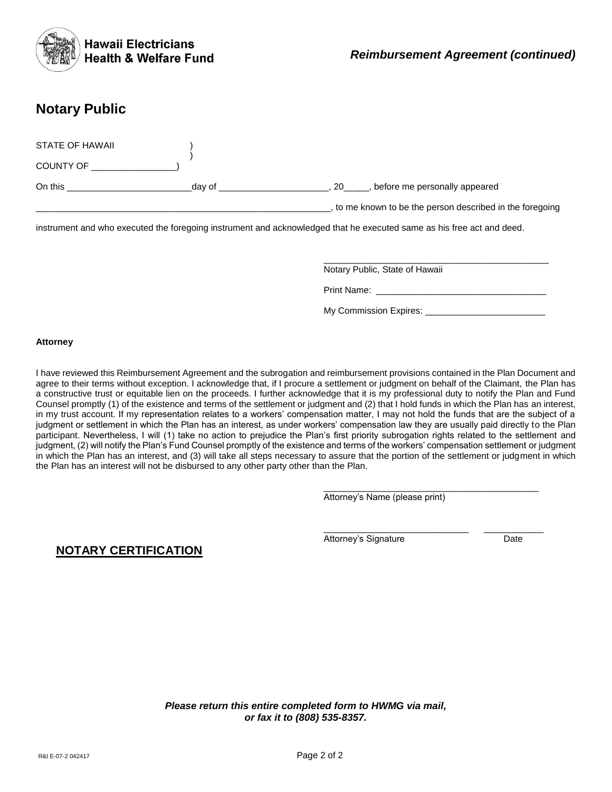

# **Notary Public**

| STATE OF HAWAII<br><b>COUNTY OF</b> |        |                                                           |
|-------------------------------------|--------|-----------------------------------------------------------|
| On this                             | day of | before me personally appeared<br>20                       |
|                                     |        | , to me known to be the person described in the foregoing |

instrument and who executed the foregoing instrument and acknowledged that he executed same as his free act and deed.

Notary Public, State of Hawaii

Print Name:

My Commission Expires: \_\_\_\_\_\_\_\_\_\_\_\_\_\_\_\_\_\_\_\_\_\_\_\_

\_\_\_\_\_\_\_\_\_\_\_\_\_\_\_\_\_\_\_\_\_\_\_\_\_\_\_\_\_\_\_\_\_\_\_\_\_\_\_\_\_\_\_

\_\_\_\_\_\_\_\_\_\_\_\_\_\_\_\_\_\_\_\_\_\_\_\_\_\_\_\_\_ \_\_\_\_\_\_\_\_\_\_\_\_

\_\_\_\_\_\_\_\_\_\_\_\_\_\_\_\_\_\_\_\_\_\_\_\_\_\_\_\_\_\_\_\_\_\_\_\_\_\_\_\_\_\_\_\_\_

#### **Attorney**

I have reviewed this Reimbursement Agreement and the subrogation and reimbursement provisions contained in the Plan Document and agree to their terms without exception. I acknowledge that, if I procure a settlement or judgment on behalf of the Claimant, the Plan has a constructive trust or equitable lien on the proceeds. I further acknowledge that it is my professional duty to notify the Plan and Fund Counsel promptly (1) of the existence and terms of the settlement or judgment and (2) that I hold funds in which the Plan has an interest, in my trust account. If my representation relates to a workers' compensation matter, I may not hold the funds that are the subject of a judgment or settlement in which the Plan has an interest, as under workers' compensation law they are usually paid directly to the Plan participant. Nevertheless, I will (1) take no action to prejudice the Plan's first priority subrogation rights related to the settlement and judgment, (2) will notify the Plan's Fund Counsel promptly of the existence and terms of the workers' compensation settlement or judgment in which the Plan has an interest, and (3) will take all steps necessary to assure that the portion of the settlement or judgment in which the Plan has an interest will not be disbursed to any other party other than the Plan.

Attorney's Name (please print)

Attorney's Signature **Date** 

**NOTARY CERTIFICATION**

*Please return this entire completed form to HWMG via mail, or fax it to (808) 535-8357.*